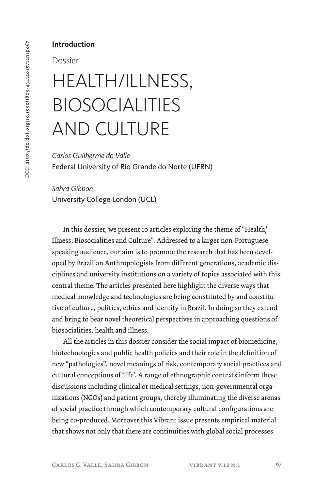## **Introduction**

### Dossier

# HEALTH/ILLNESS, BIOSOCIALITIES AND CULTURE

*Carlos Guilherme do Valle* Federal University of Rio Grande do Norte (UFRN)

*Sahra Gibbon* University College London (UCL)

In this dossier, we present 10 articles exploring the theme of "Health/ Illness, Biosocialities and Culture". Addressed to a larger non-Portuguese speaking audience, our aim is to promote the research that has been developed by Brazilian Anthropologists from different generations, academic disciplines and university institutions on a variety of topics associated with this central theme. The articles presented here highlight the diverse ways that medical knowledge and technologies are being constituted by and constitutive of culture, politics, ethics and identity in Brazil. In doing so they extend and bring to bear novel theoretical perspectives in approaching questions of biosocialities, health and illness.

All the articles in this dossier consider the social impact of biomedicine, biotechnologies and public health policies and their role in the definition of new "pathologies", novel meanings of risk, contemporary social practices and cultural conceptions of 'life'. A range of ethnographic contexts inform these discussions including clinical or medical settings, non-governmental organizations (NGOs) and patient groups, thereby illuminating the diverse arenas of social practice through which contemporary cultural configurations are being co-produced. Moreover this Vibrant issue presents empirical material that shows not only that there are continuities with global social processes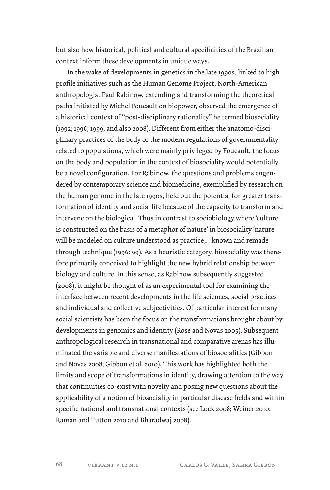but also how historical, political and cultural specificities of the Brazilian context inform these developments in unique ways.

In the wake of developments in genetics in the late 1990s, linked to high profile initiatives such as the Human Genome Project, North-American anthropologist Paul Rabinow, extending and transforming the theoretical paths initiated by Michel Foucault on biopower, observed the emergence of a historical context of "post-disciplinary rationality" he termed biosociality (1992; 1996; 1999; and also 2008). Different from either the anatomo-disciplinary practices of the body or the modern regulations of governmentality related to populations, which were mainly privileged by Foucault, the focus on the body and population in the context of biosociality would potentially be a novel configuration. For Rabinow, the questions and problems engendered by contemporary science and biomedicine, exemplified by research on the human genome in the late 1990s, held out the potential for greater transformation of identity and social life because of the capacity to transform and intervene on the biological. Thus in contrast to sociobiology where 'culture is constructed on the basis of a metaphor of nature' in biosociality 'nature will be modeled on culture understood as practice,…known and remade through technique (1996: 99). As a heuristic category, biosociality was therefore primarily conceived to highlight the new hybrid relationship between biology and culture. In this sense, as Rabinow subsequently suggested (2008), it might be thought of as an experimental tool for examining the interface between recent developments in the life sciences, social practices and individual and collective subjectivities. Of particular interest for many social scientists has been the focus on the transformations brought about by developments in genomics and identity (Rose and Novas 2005). Subsequent anthropological research in transnational and comparative arenas has illuminated the variable and diverse manifestations of biosocialities (Gibbon and Novas 2008; Gibbon et al. 2010). This work has highlighted both the limits and scope of transformations in identity, drawing attention to the way that continuities co-exist with novelty and posing new questions about the applicability of a notion of biosociality in particular disease fields and within specific national and transnational contexts (see Lock 2008; Weiner 2010; Raman and Tutton 2010 and Bharadwaj 2008).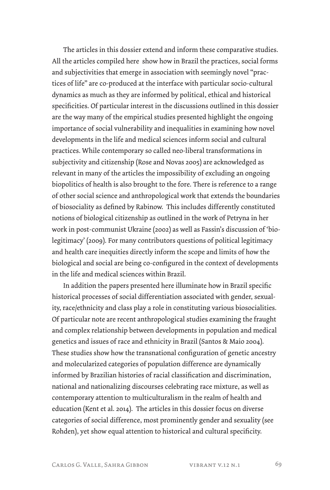The articles in this dossier extend and inform these comparative studies. All the articles compiled here show how in Brazil the practices, social forms and subjectivities that emerge in association with seemingly novel "practices of life" are co-produced at the interface with particular socio-cultural dynamics as much as they are informed by political, ethical and historical specificities. Of particular interest in the discussions outlined in this dossier are the way many of the empirical studies presented highlight the ongoing importance of social vulnerability and inequalities in examining how novel developments in the life and medical sciences inform social and cultural practices. While contemporary so called neo-liberal transformations in subjectivity and citizenship (Rose and Novas 2005) are acknowledged as relevant in many of the articles the impossibility of excluding an ongoing biopolitics of health is also brought to the fore. There is reference to a range of other social science and anthropological work that extends the boundaries of biosociality as defined by Rabinow. This includes differently constituted notions of biological citizenship as outlined in the work of Petryna in her work in post-communist Ukraine (2002) as well as Fassin's discussion of 'biolegitimacy' (2009). For many contributors questions of political legitimacy and health care inequities directly inform the scope and limits of how the biological and social are being co-configured in the context of developments in the life and medical sciences within Brazil.

In addition the papers presented here illuminate how in Brazil specific historical processes of social differentiation associated with gender, sexuality, race/ethnicity and class play a role in constituting various biosocialities. Of particular note are recent anthropological studies examining the fraught and complex relationship between developments in population and medical genetics and issues of race and ethnicity in Brazil (Santos & Maio 2004). These studies show how the transnational configuration of genetic ancestry and molecularized categories of population difference are dynamically informed by Brazilian histories of racial classification and discrimination, national and nationalizing discourses celebrating race mixture, as well as contemporary attention to multiculturalism in the realm of health and education (Kent et al. 2014). The articles in this dossier focus on diverse categories of social difference, most prominently gender and sexuality (see Rohden), yet show equal attention to historical and cultural specificity.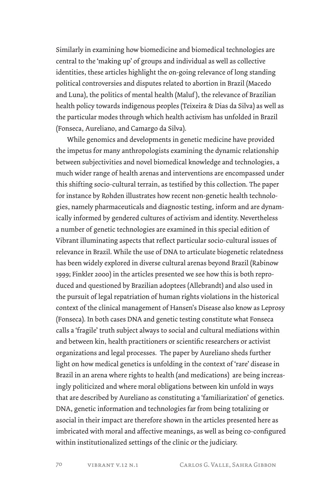Similarly in examining how biomedicine and biomedical technologies are central to the 'making up' of groups and individual as well as collective identities, these articles highlight the on-going relevance of long standing political controversies and disputes related to abortion in Brazil (Macedo and Luna), the politics of mental health (Maluf ), the relevance of Brazilian health policy towards indigenous peoples (Teixeira & Dias da Silva) as well as the particular modes through which health activism has unfolded in Brazil (Fonseca, Aureliano, and Camargo da Silva).

While genomics and developments in genetic medicine have provided the impetus for many anthropologists examining the dynamic relationship between subjectivities and novel biomedical knowledge and technologies, a much wider range of health arenas and interventions are encompassed under this shifting socio-cultural terrain, as testified by this collection. The paper for instance by Rohden illustrates how recent non-genetic health technologies, namely pharmaceuticals and diagnostic testing, inform and are dynamically informed by gendered cultures of activism and identity. Nevertheless a number of genetic technologies are examined in this special edition of Vibrant illuminating aspects that reflect particular socio-cultural issues of relevance in Brazil. While the use of DNA to articulate biogenetic relatedness has been widely explored in diverse cultural arenas beyond Brazil (Rabinow 1999; Finkler 2000) in the articles presented we see how this is both reproduced and questioned by Brazilian adoptees (Allebrandt) and also used in the pursuit of legal repatriation of human rights violations in the historical context of the clinical management of Hansen's Disease also know as Leprosy (Fonseca). In both cases DNA and genetic testing constitute what Fonseca calls a 'fragile' truth subject always to social and cultural mediations within and between kin, health practitioners or scientific researchers or activist organizations and legal processes. The paper by Aureliano sheds further light on how medical genetics is unfolding in the context of 'rare' disease in Brazil in an arena where rights to health (and medications) are being increasingly politicized and where moral obligations between kin unfold in ways that are described by Aureliano as constituting a 'familiarization' of genetics. DNA, genetic information and technologies far from being totalizing or asocial in their impact are therefore shown in the articles presented here as imbricated with moral and affective meanings, as well as being co-configured within institutionalized settings of the clinic or the judiciary.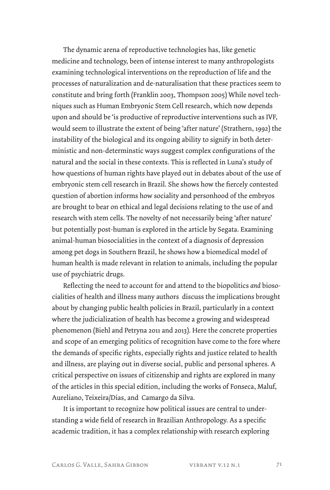The dynamic arena of reproductive technologies has, like genetic medicine and technology, been of intense interest to many anthropologists examining technological interventions on the reproduction of life and the processes of naturalization and de-naturalisation that these practices seem to constitute and bring forth (Franklin 2003, Thompson 2005) While novel techniques such as Human Embryonic Stem Cell research, which now depends upon and should be 'is productive of reproductive interventions such as IVF, would seem to illustrate the extent of being 'after nature' (Strathern, 1992) the instability of the biological and its ongoing ability to signify in both deterministic and non-determinstic ways suggest complex configurations of the natural and the social in these contexts. This is reflected in Luna's study of how questions of human rights have played out in debates about of the use of embryonic stem cell research in Brazil. She shows how the fiercely contested question of abortion informs how sociality and personhood of the embryos are brought to bear on ethical and legal decisions relating to the use of and research with stem cells. The novelty of not necessarily being 'after nature' but potentially post-human is explored in the article by Segata. Examining animal-human biosocialities in the context of a diagnosis of depression among pet dogs in Southern Brazil, he shows how a biomedical model of human health is made relevant in relation to animals, including the popular use of psychiatric drugs.

Reflecting the need to account for and attend to the biopolitics *and* biosocialities of health and illness many authors discuss the implications brought about by changing public health policies in Brazil, particularly in a context where the judicialization of health has become a growing and widespread phenomenon (Biehl and Petryna 2011 and 2013). Here the concrete properties and scope of an emerging politics of recognition have come to the fore where the demands of specific rights, especially rights and justice related to health and illness, are playing out in diverse social, public and personal spheres. A critical perspective on issues of citizenship and rights are explored in many of the articles in this special edition, including the works of Fonseca, Maluf, Aureliano, Teixeira/Dias, and Camargo da Silva.

It is important to recognize how political issues are central to understanding a wide field of research in Brazilian Anthropology. As a specific academic tradition, it has a complex relationship with research exploring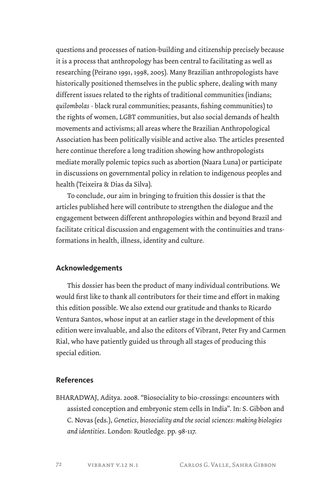questions and processes of nation-building and citizenship precisely because it is a process that anthropology has been central to facilitating as well as researching (Peirano 1991, 1998, 2005). Many Brazilian anthropologists have historically positioned themselves in the public sphere, dealing with many different issues related to the rights of traditional communities (indians; *quilombolas* - black rural communities; peasants, fishing communities) to the rights of women, LGBT communities, but also social demands of health movements and activisms; all areas where the Brazilian Anthropological Association has been politically visible and active also. The articles presented here continue therefore a long tradition showing how anthropologists mediate morally polemic topics such as abortion (Naara Luna) or participate in discussions on governmental policy in relation to indigenous peoples and health (Teixeira & Dias da Silva).

To conclude, our aim in bringing to fruition this dossier is that the articles published here will contribute to strengthen the dialogue and the engagement between different anthropologies within and beyond Brazil and facilitate critical discussion and engagement with the continuities and transformations in health, illness, identity and culture.

#### **Acknowledgements**

This dossier has been the product of many individual contributions. We would first like to thank all contributors for their time and effort in making this edition possible. We also extend our gratitude and thanks to Ricardo Ventura Santos, whose input at an earlier stage in the development of this edition were invaluable, and also the editors of Vibrant, Peter Fry and Carmen Rial, who have patiently guided us through all stages of producing this special edition.

#### **References**

BHARADWAJ, Aditya. 2008. "Biosociality to bio-crossings: encounters with assisted conception and embryonic stem cells in India". In: S. Gibbon and C. Novas (eds.), *Genetics, biosociality and the social sciences: making biologies and identities*. London: Routledge. pp. 98-117.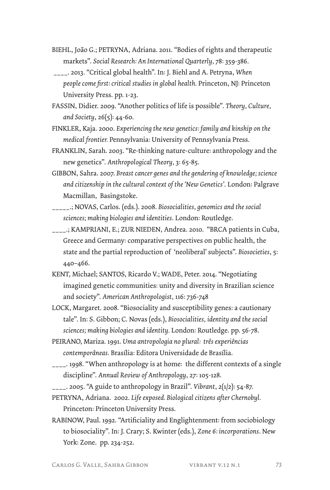- BIEHL, João G.; PETRYNA, Adriana. 2011. "Bodies of rights and therapeutic markets". *Social Research: An International Quarterly,* 78: 359-386.
- \_\_\_\_. 2013. "Critical global health". In: J. Biehl and A. Petryna, *When people come first: critical studies in global health.* Princeton, NJ: Princeton University Press. pp. 1-23.
- FASSIN, Didier. 2009. "Another politics of life is possible". *Theory, Culture, and Society*, 26(5): 44-60.
- FINKLER, Kaja. 2000. *Experiencing the new genetics: family and kinship on the medical frontier.* Pennsylvania: University of Pennsylvania Press.
- FRANKLIN, Sarah. 2003. "Re-thinking nature-culture: anthropology and the new genetics". *Anthropological Theory,* 3: 65-85.
- GIBBON, Sahra. 2007. *Breast cancer genes and the gendering of knowledge; science and citizenship in the cultural context of the 'New Genetics'*. London: Palgrave Macmillan, Basingstoke.
- \_\_\_\_\_.; NOVAS, Carlos. (eds.). 2008. *Biosocialities, genomics and the social sciences; making biologies and identities*. London: Routledge.
- \_\_\_\_.; KAMPRIANI, E.; ZUR NIEDEN, Andrea. 2010. "BRCA patients in Cuba, Greece and Germany: comparative perspectives on public health, the state and the partial reproduction of 'neoliberal' subjects". *Biosocieties*, 5: 440–466.
- KENT, Michael; SANTOS, Ricardo V.; WADE, Peter. 2014. "Negotiating imagined genetic communities: unity and diversity in Brazilian science and society". *American Anthropologist,* 116: 736-748
- LOCK, Margaret. 2008. "Biosociality and susceptibility genes: a cautionary tale". In: S. Gibbon; C. Novas (eds.), *Biosocialities, identity and the social sciences; making biologies and identity.* London: Routledge. pp. 56-78.
- PEIRANO, Mariza. 1991. *Uma antropologia no plural: três experiências contemporâneas.* Brasília: Editora Universidade de Brasília.
- \_\_\_\_. 1998. "When anthropology is at home: the different contexts of a single discipline". *Annual Review of Anthropology*, 27: 105-128.
- \_\_\_\_. 2005. "A guide to anthropology in Brazil". *Vibrant*, 2(1/2): 54-87.
- PETRYNA, Adriana. 2002. *Life exposed. Biological citizens after Chernobyl.*  Princeton: Princeton University Press.
- RABINOW, Paul. 1992. "Artificiality and Englightenment: from sociobiology to biosociality". In: J. Crary; S. Kwinter (eds.), *Zone 6: incorporations*. New York: Zone. pp. 234-252.